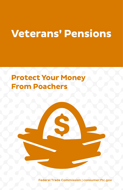# **Veterans' Pensions**

## **Protect Your Money From Poachers**

Federal Trade Commission | consumer.ftc.gov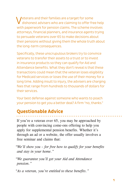Veterans and their families are a target for some dishonest advisers who are claiming to offer free help with paperwork for pension claims. The scheme involves attorneys, financial planners, and insurance agents trying to persuade veterans over 65 to make decisions about their pensions without giving them the whole truth about the long-term consequences.

Specifically, these unscrupulous brokers try to convince veterans to transfer their assets to a trust or to invest in insurance products so they can qualify for Aid and Attendance benefits. What they don't reveal is that these transactions could mean that the veteran loses eligibility for Medicaid services or loses the use of their money for a long time. Adding insult to injury, the advisers are charging fees that range from hundreds to thousands of dollars for their services.

Your best defense against someone who wants to poach your pension to get you a better deal? A firm "no, thanks."

## **Questionable Advice**

If you're a veteran over 65, you may be approached by people with convincing come-ons offering to help you apply for supplemental pension benefits. Whether it's through an ad or a website, the offer usually involves a free seminar and claims that:

*"We'll show you – for free how to qualify for your benefits and stay in your home."*

*"We guarantee you'll get your Aid and Attendance pension."*

*"As a veteran, you're entitled to these benefits."*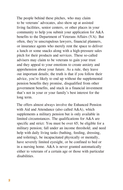The people behind these pitches, who may claim to be veterans' advocates, also show up at assisted living facilities, senior centers, or other places in your community to help you submit your application for A&A benefits to the Department of Veterans Affairs (VA). But often, they're unscrupulous lawyers, financial planners, or insurance agents who merely rent the space to deliver a lunch or some snacks along with a high-pressure sales pitch for their products and services. These so-called advisers may claim to be veterans to gain your trust and they appeal to your emotions to create anxiety and apprehension about your future. As a rule, they leave out important details; the truth is that if you follow their advice, you're likely to end up without the supplemental pension benefits they promise, disqualified from other government benefits, and stuck in a financial investment that's not in your or your family's best interest for the long term.

The offers almost always involve the Enhanced Pension with Aid and Attendance (also called A&A), which supplements a military pension but is only available in limited circumstances. The qualifications for A&A are specific and strict: You must be over 65; be eligible for a military pension; fall under an income threshold; and need help with daily living tasks (bathing, feeding, dressing, and toileting), be incapacitated physically or mentally, have severely limited eyesight, or be confined to bed or in a nursing home. A&A is never granted automatically either to veterans of a certain age or those with particular disabilities.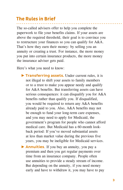## **The Rules in Brief**

The so-called advisers offer to help you complete the paperwork to file your benefits claims. If your assets are above the required threshold, their goal is to convince you to restructure your finances so you can qualify for A&A. That's how they earn their money: by selling you an annuity or creating a trust. For instance, the more money you put into certain insurance products, the more money the insurance adviser gets paid.

Here's what you need to know:

- $\triangleright$  Transferring assets. Under current rules, it is not illegal to shift your assets to family members or to a trust to make you appear needy and qualify for A&A benefits. But transferring assets can have serious consequences: it can disqualify you for A&A benefits rather than qualify you. If disqualified, you would be required to return any A&A benefits already paid to you. Also, A&A benefits may not be enough to fund your long-term care expenses, and you may need to apply for Medicaid, the government's program for people who cannot afford medical care. But Medicaid has a 60-month lookback period: If you've moved substantial assets at less than market value during the previous five years, you may be ineligible for Medicaid services.
- ▶ Annuities. If you buy an annuity, you pay a premium and then you get regular payments over time from an insurance company. People often use annuities to provide a steady stream of income. But depending on the annuity, if you need money early and have to withdraw it, you may have to pay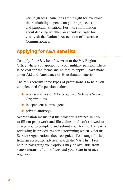very high fees. Annuities aren't right for everyone: their suitability depends on your age, needs, and particular situation. For more information about deciding whether an annuity is right for you, visit the National Association of Insurance Commissioners.

## **Applying for A&A Benefits**

To apply for A&A benefits, write to the VA Regional Office where you applied for your military pension. There is no cost for the forms and no fees to apply. Learn more about Aid and Attendance or Housebound benefits.

The VA accredits three types of professionals to help you complete and file pension claims:

- ► representatives of VA-recognized Veterans Service **Organizations**
- $\triangleright$  independent claims agents
- ► private attorneys

Accreditation means that the provider is trained in how to fill out paperwork and file claims, and isn't allowed to charge you to complete and submit your forms. The VA is reviewing its procedures for determining which Veterans Service Organizations they recognize. To arrange for help from an accredited adviser, search the VA's list. Free help in navigating your options may be available from state veterans' affairs offices and your state insurance regulator.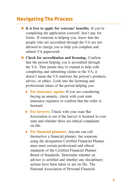## **Navigating The Process**

- ► **It is free to apply for veterans' benefits.** If you're completing the application yourself, don't pay for forms. If someone is helping you, know that the people who are accredited through the VA are not allowed to charge you to help you complete and submit VA paperwork.
- ► **Check for accreditation and licensing.** Confirm that the person helping you is accredited through the VA. That means they're trained to help with completing and submitting claims to the VA; it doesn't mean the VA endorses the person's products, advice, or ethics. Look into the licensing and professional status of the person helping you:
	- **For insurance agents:** If you are considering buying an annuity, check with your state insurance regulator to confirm that the seller is licensed.
	- **For lawyers:** Check with your state Bar Association to see if the lawyer is licensed in your state and whether there are ethical complaints on file.
	- **For financial planners:** Anyone can call themselves a financial planner, but someone using the designation Certified Financial Planner must meet certain professional and ethical standards of the Certified Financial Planner Board of Standards. Determine whether an adviser is certified and whether any disciplinary actions have been taken or are on file. The National Association of Personal Financial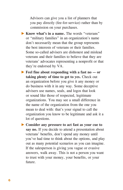Advisors can give you a list of planners that you pay directly (fee-for-service) rather than by commission on your purchases.

- ► **Know what's in a name.** The words "veterans" or "military families" in an organization's name don't necessarily mean that the group represents the best interests of veterans or their families. Some so-called advisers are dishonest and mislead veterans and their families to believe that they are veterans' advocates representing a nonprofit or that they're endorsed by VA.
- ► **Feel fine about responding with a fast no or taking plenty of time to get to yes.** Check out an organization before you give it any money or do business with it in any way. Some deceptive advisers use names, seals, and logos that look or sound like those of respected, legitimate organizations. You may see a small difference in the name of the organization from the one you mean to deal with: that's your signal to call the organization you know to be legitimate and ask it a lot of questions.
- ► **Consider any pressure to act fast as your cue to say no.** If you decide to attend a presentation about veterans' benefits, don't spend any money until you've had time to think about the options, and play out as many potential scenarios as you can imagine. If the salesperson is giving you vague or evasive answers, walk away. This is not a person you want to trust with your money, your benefits, or your future.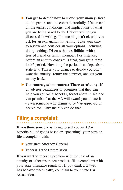- ► **You get to decide how to spend your money.** Read all the papers and the contract carefully. Understand all the terms, conditions, and implications of what you are being asked to do. Get everything you discussed in writing. If something isn't clear to you, ask for an explanation in writing. Take your time to review and consider all your options, including doing nothing. Discuss the possibilities with a trusted friend or family member. For instance, before an annuity contract is final, you get a "free look" period. How long the period lasts depends on state law. This is your chance to decide you don't want the annuity, return the contract, and get your money back.
- ► **Guarantees, schmarantees: There aren't any.** If an adviser guarantees or promises that they can help you get A&A benefits, forget about it. No one can promise that the VA will award you a benefit – even someone who claims to be VA-approved or accredited. Only the VA can do that.

## **Filing a complaint**

If you think someone is trying to sell you an A&A benefits bill of goods based on "poaching" your pension, file a complaint with:

- ► your state Attorney General
- ► Federal Trade Commission

If you want to report a problem with the sale of an annuity or other insurance product, file a complaint with your state insurance regulator. If you think a lawyer has behaved unethically, complain to your state Bar Association.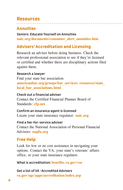## **Resources**

## **Annuities**

#### Seniors: Educate Yourself on Annuities **naic.org/documents/consumer\_alert\_annuities.htm**

## **Advisers' Accreditation and Licensing**

Research an adviser before doing business. Check the relevant professional association to see if they're licensed or certified and whether there are disciplinary actions filed against them.

#### Research a lawyer

Find your state bar association: **americanbar.org/groups/bar\_services/ resources/state\_ local\_bar\_associations.html**

#### Check out a financial adviser

Contact the Certified Financial Planner Board of Standards: **cfp.net**

#### Confirm an insurance agent is licensed Locate your state insurance regulator: **naic.org**

Find a fee-for-service adviser Contact the National Association of Personal Financial Advisors: **napfa.org**

## **Free Help**

Look for low or no cost assistance in navigating your options. Contact the VA, your state's veterans' affairs office, or your state insurance regulator.

What is accreditation: **benefits.va.gov/vso**

Get a list of VA -Accredited Advisers **va.gov/ogc/apps/accreditation/index.asp**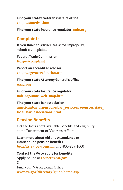Find your state's veterans' affairs office **va.gov/statedva.htm**

Find your state insurance regulator: **naic.org**

## **Complaints**

If you think an adviser has acted improperly, submit a complaint.

Federal Trade Commission **ftc.gov/complaint**

Report an accredited adviser **va.gov/ogc/accreditation.asp**

Find your state Attorney General's office **naag.org**

Find your state Insurance regulator **naic.org/state\_web\_map.htm**

Find your state bar association **americanbar.org/groups/bar\_services/resources/state\_ local\_bar\_associations.html**

## **Pension Benefits**

Get the facts about available benefits and eligibility at the Department of Veterans Affairs.

Learn more about Aid and Attendance or Housebound pension benefits **benefits.va.gov/pension** or 1-800-827-1000

Contact the VA to apply for benefits Apply online at **ebenefits.va.gov** Or Find your VA Regional Office: **www.va.gov/directory/guide/home.asp**